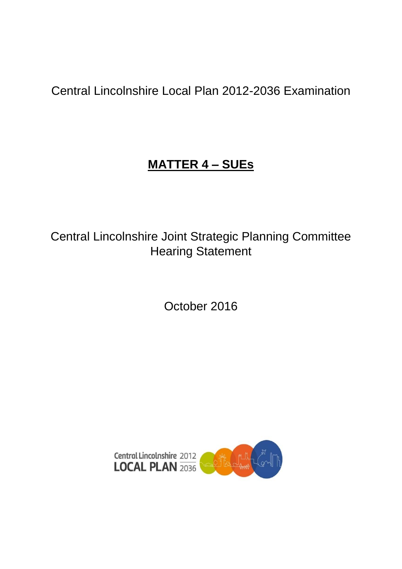Central Lincolnshire Local Plan 2012-2036 Examination

# **MATTER 4 – SUEs**

Central Lincolnshire Joint Strategic Planning Committee Hearing Statement

October 2016

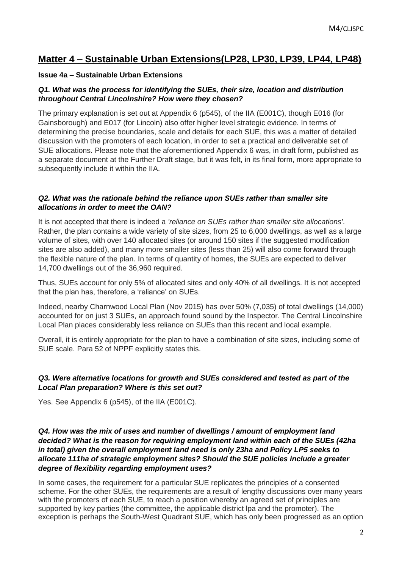# **Matter 4 – Sustainable Urban Extensions(LP28, LP30, LP39, LP44, LP48)**

# **Issue 4a – Sustainable Urban Extensions**

# *Q1. What was the process for identifying the SUEs, their size, location and distribution throughout Central Lincolnshire? How were they chosen?*

The primary explanation is set out at Appendix 6 (p545), of the IIA (E001C), though E016 (for Gainsborough) and E017 (for Lincoln) also offer higher level strategic evidence. In terms of determining the precise boundaries, scale and details for each SUE, this was a matter of detailed discussion with the promoters of each location, in order to set a practical and deliverable set of SUE allocations. Please note that the aforementioned Appendix 6 was, in draft form, published as a separate document at the Further Draft stage, but it was felt, in its final form, more appropriate to subsequently include it within the IIA.

# *Q2. What was the rationale behind the reliance upon SUEs rather than smaller site allocations in order to meet the OAN?*

It is not accepted that there is indeed a *'reliance on SUEs rather than smaller site allocations'*. Rather, the plan contains a wide variety of site sizes, from 25 to 6,000 dwellings, as well as a large volume of sites, with over 140 allocated sites (or around 150 sites if the suggested modification sites are also added), and many more smaller sites (less than 25) will also come forward through the flexible nature of the plan. In terms of quantity of homes, the SUEs are expected to deliver 14,700 dwellings out of the 36,960 required.

Thus, SUEs account for only 5% of allocated sites and only 40% of all dwellings. It is not accepted that the plan has, therefore, a 'reliance' on SUEs.

Indeed, nearby Charnwood Local Plan (Nov 2015) has over 50% (7,035) of total dwellings (14,000) accounted for on just 3 SUEs, an approach found sound by the Inspector. The Central Lincolnshire Local Plan places considerably less reliance on SUEs than this recent and local example.

Overall, it is entirely appropriate for the plan to have a combination of site sizes, including some of SUE scale. Para 52 of NPPF explicitly states this.

# *Q3. Were alternative locations for growth and SUEs considered and tested as part of the Local Plan preparation? Where is this set out?*

Yes. See Appendix 6 (p545), of the IIA (E001C).

# *Q4. How was the mix of uses and number of dwellings / amount of employment land decided? What is the reason for requiring employment land within each of the SUEs (42ha in total) given the overall employment land need is only 23ha and Policy LP5 seeks to allocate 111ha of strategic employment sites? Should the SUE policies include a greater degree of flexibility regarding employment uses?*

In some cases, the requirement for a particular SUE replicates the principles of a consented scheme. For the other SUEs, the requirements are a result of lengthy discussions over many years with the promoters of each SUE, to reach a position whereby an agreed set of principles are supported by key parties (the committee, the applicable district lpa and the promoter). The exception is perhaps the South-West Quadrant SUE, which has only been progressed as an option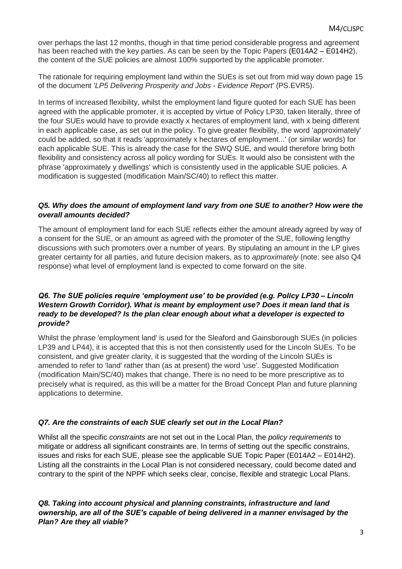over perhaps the last 12 months, though in that time period considerable progress and agreement has been reached with the key parties. As can be seen by the Topic Papers (E014A2 – E014H2), the content of the SUE policies are almost 100% supported by the applicable promoter.

The rationale for requiring employment land within the SUEs is set out from mid way down page 15 of the document *'LP5 Delivering Prosperity and Jobs - Evidence Report'* (PS.EVR5).

In terms of increased flexibility, whilst the employment land figure quoted for each SUE has been agreed with the applicable promoter, it is accepted by virtue of Policy LP30, taken literally, three of the four SUEs would have to provide exactly x hectares of employment land, with x being different in each applicable case, as set out in the policy. To give greater flexibility, the word 'approximately' could be added, so that it reads 'approximately x hectares of employment...' (or similar words) for each applicable SUE. This is already the case for the SWQ SUE, and would therefore bring both flexibility and consistency across all policy wording for SUEs. It would also be consistent with the phrase 'approximately y dwellings' which is consistently used in the applicable SUE policies. A modification is suggested (modification Main/SC/40) to reflect this matter.

#### *Q5. Why does the amount of employment land vary from one SUE to another? How were the overall amounts decided?*

The amount of employment land for each SUE reflects either the amount already agreed by way of a consent for the SUE, or an amount as agreed with the promoter of the SUE, following lengthy discussions with such promoters over a number of years. By stipulating an amount in the LP gives greater certainty for all parties, and future decision makers, as to *approximately* (note: see also Q4 response) what level of employment land is expected to come forward on the site.

# *Q6. The SUE policies require 'employment use' to be provided (e.g. Policy LP30 – Lincoln Western Growth Corridor). What is meant by employment use? Does it mean land that is ready to be developed? Is the plan clear enough about what a developer is expected to provide?*

Whilst the phrase 'employment land' is used for the Sleaford and Gainsborough SUEs (in policies LP39 and LP44), it is accepted that this is not then consistently used for the Lincoln SUEs. To be consistent, and give greater clarity, it is suggested that the wording of the Lincoln SUEs is amended to refer to 'land' rather than (as at present) the word 'use'. Suggested Modification (modification Main/SC/40) makes that change. There is no need to be more prescriptive as to precisely what is required, as this will be a matter for the Broad Concept Plan and future planning applications to determine.

# *Q7. Are the constraints of each SUE clearly set out in the Local Plan?*

Whilst all the specific *constraints* are not set out in the Local Plan, the *policy requirements* to mitigate or address all significant constraints are. In terms of setting out the specific constrains, issues and risks for each SUE, please see the applicable SUE Topic Paper (E014A2 – E014H2). Listing all the constraints in the Local Plan is not considered necessary, could become dated and contrary to the spirit of the NPPF which seeks clear, concise, flexible and strategic Local Plans.

#### *Q8. Taking into account physical and planning constraints, infrastructure and land ownership, are all of the SUE's capable of being delivered in a manner envisaged by the Plan? Are they all viable?*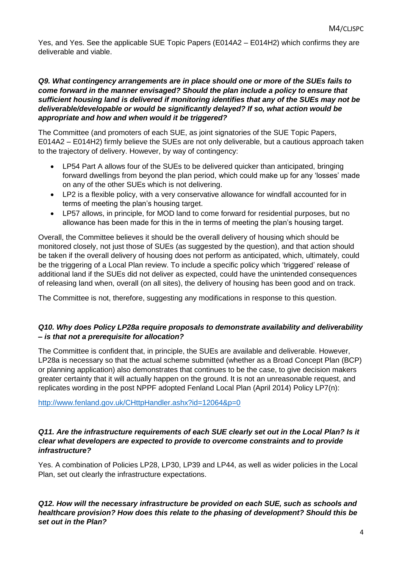Yes, and Yes. See the applicable SUE Topic Papers (E014A2 – E014H2) which confirms they are deliverable and viable.

# *Q9. What contingency arrangements are in place should one or more of the SUEs fails to come forward in the manner envisaged? Should the plan include a policy to ensure that sufficient housing land is delivered if monitoring identifies that any of the SUEs may not be deliverable/developable or would be significantly delayed? If so, what action would be appropriate and how and when would it be triggered?*

The Committee (and promoters of each SUE, as joint signatories of the SUE Topic Papers, E014A2 – E014H2) firmly believe the SUEs are not only deliverable, but a cautious approach taken to the trajectory of delivery. However, by way of contingency:

- LP54 Part A allows four of the SUEs to be delivered quicker than anticipated, bringing forward dwellings from beyond the plan period, which could make up for any 'losses' made on any of the other SUEs which is not delivering.
- LP2 is a flexible policy, with a very conservative allowance for windfall accounted for in terms of meeting the plan's housing target.
- LP57 allows, in principle, for MOD land to come forward for residential purposes, but no allowance has been made for this in the in terms of meeting the plan's housing target.

Overall, the Committee believes it should be the overall delivery of housing which should be monitored closely, not just those of SUEs (as suggested by the question), and that action should be taken if the overall delivery of housing does not perform as anticipated, which, ultimately, could be the triggering of a Local Plan review. To include a specific policy which 'triggered' release of additional land if the SUEs did not deliver as expected, could have the unintended consequences of releasing land when, overall (on all sites), the delivery of housing has been good and on track.

The Committee is not, therefore, suggesting any modifications in response to this question.

# *Q10. Why does Policy LP28a require proposals to demonstrate availability and deliverability – is that not a prerequisite for allocation?*

The Committee is confident that, in principle, the SUEs are available and deliverable. However, LP28a is necessary so that the actual scheme submitted (whether as a Broad Concept Plan (BCP) or planning application) also demonstrates that continues to be the case, to give decision makers greater certainty that it will actually happen on the ground. It is not an unreasonable request, and replicates wording in the post NPPF adopted Fenland Local Plan (April 2014) Policy LP7(n):

<http://www.fenland.gov.uk/CHttpHandler.ashx?id=12064&p=0>

# *Q11. Are the infrastructure requirements of each SUE clearly set out in the Local Plan? Is it clear what developers are expected to provide to overcome constraints and to provide infrastructure?*

Yes. A combination of Policies LP28, LP30, LP39 and LP44, as well as wider policies in the Local Plan, set out clearly the infrastructure expectations.

*Q12. How will the necessary infrastructure be provided on each SUE, such as schools and healthcare provision? How does this relate to the phasing of development? Should this be set out in the Plan?*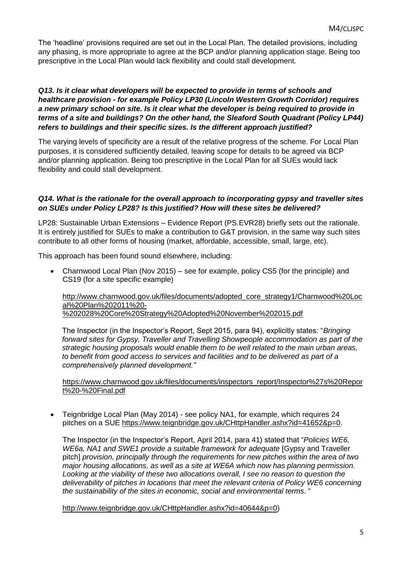The 'headline' provisions required are set out in the Local Plan. The detailed provisions, including any phasing, is more appropriate to agree at the BCP and/or planning application stage. Being too prescriptive in the Local Plan would lack flexibility and could stall development.

#### *Q13. Is it clear what developers will be expected to provide in terms of schools and healthcare provision - for example Policy LP30 (Lincoln Western Growth Corridor) requires a new primary school on site. Is it clear what the developer is being required to provide in terms of a site and buildings? On the other hand, the Sleaford South Quadrant (Policy LP44) refers to buildings and their specific sizes. Is the different approach justified?*

The varying levels of specificity are a result of the relative progress of the scheme. For Local Plan purposes, it is considered sufficiently detailed, leaving scope for details to be agreed via BCP and/or planning application. Being too prescriptive in the Local Plan for all SUEs would lack flexibility and could stall development.

# *Q14. What is the rationale for the overall approach to incorporating gypsy and traveller sites on SUEs under Policy LP28? Is this justified? How will these sites be delivered?*

LP28: Sustainable Urban Extensions – Evidence Report (PS.EVR28) briefly sets out the rationale. It is entirely justified for SUEs to make a contribution to G&T provision, in the same way such sites contribute to all other forms of housing (market, affordable, accessible, small, large, etc).

This approach has been found sound elsewhere, including:

 Charnwood Local Plan (Nov 2015) – see for example, policy CS5 (for the principle) and CS19 (for a site specific example)

[http://www.charnwood.gov.uk/files/documents/adopted\\_core\\_strategy1/Charnwood%20Loc](http://www.charnwood.gov.uk/files/documents/adopted_core_strategy1/Charnwood%20Local%20Plan%202011%20-%202028%20Core%20Strategy%20Adopted%20November%202015.pdf) [al%20Plan%202011%20-](http://www.charnwood.gov.uk/files/documents/adopted_core_strategy1/Charnwood%20Local%20Plan%202011%20-%202028%20Core%20Strategy%20Adopted%20November%202015.pdf) [%202028%20Core%20Strategy%20Adopted%20November%202015.pdf](http://www.charnwood.gov.uk/files/documents/adopted_core_strategy1/Charnwood%20Local%20Plan%202011%20-%202028%20Core%20Strategy%20Adopted%20November%202015.pdf)

The Inspector (in the Inspector's Report, Sept 2015, para 94), explicitly states: "*Bringing forward sites for Gypsy, Traveller and Travelling Showpeople accommodation as part of the strategic housing proposals would enable them to be well related to the main urban areas, to benefit from good access to services and facilities and to be delivered as part of a comprehensively planned development."*

[https://www.charnwood.gov.uk/files/documents/inspectors\\_report/Inspector%27s%20Repor](https://www.charnwood.gov.uk/files/documents/inspectors_report/Inspector%27s%20Report%20-%20Final.pdf) [t%20-%20Final.pdf](https://www.charnwood.gov.uk/files/documents/inspectors_report/Inspector%27s%20Report%20-%20Final.pdf)

 Teignbridge Local Plan (May 2014) - see policy NA1, for example, which requires 24 pitches on a SUE [https://www.teignbridge.gov.uk/CHttpHandler.ashx?id=41652&p=0.](https://www.teignbridge.gov.uk/CHttpHandler.ashx?id=41652&p=0)

The Inspector (in the Inspector's Report, April 2014, para 41) stated that "*Policies WE6, WE6a, NA1 and SWE1 provide a suitable framework for adequate* [Gypsy and Traveller pitch] *provision, principally through the requirements for new pitches within the area of two major housing allocations, as well as a site at WE6A which now has planning permission. Looking at the viability of these two allocations overall, I see no reason to question the deliverability of pitches in locations that meet the relevant criteria of Policy WE6 concerning the sustainability of the sites in economic, social and environmental terms*. "

[http://www.teignbridge.gov.uk/CHttpHandler.ashx?id=40644&p=0\)](http://www.teignbridge.gov.uk/CHttpHandler.ashx?id=40644&p=0)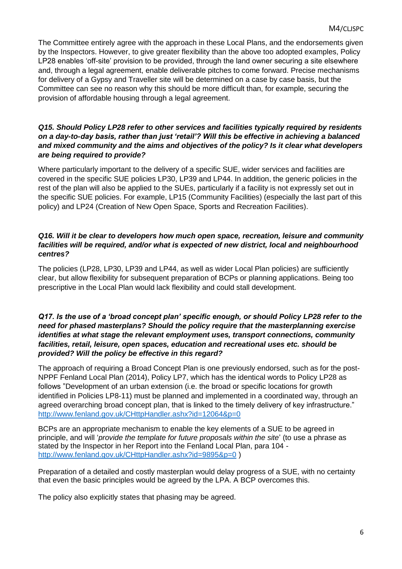The Committee entirely agree with the approach in these Local Plans, and the endorsements given by the Inspectors. However, to give greater flexibility than the above too adopted examples, Policy LP28 enables 'off-site' provision to be provided, through the land owner securing a site elsewhere and, through a legal agreement, enable deliverable pitches to come forward. Precise mechanisms for delivery of a Gypsy and Traveller site will be determined on a case by case basis, but the Committee can see no reason why this should be more difficult than, for example, securing the provision of affordable housing through a legal agreement.

# *Q15. Should Policy LP28 refer to other services and facilities typically required by residents on a day-to-day basis, rather than just 'retail'? Will this be effective in achieving a balanced and mixed community and the aims and objectives of the policy? Is it clear what developers are being required to provide?*

Where particularly important to the delivery of a specific SUE, wider services and facilities are covered in the specific SUE policies LP30, LP39 and LP44. In addition, the generic policies in the rest of the plan will also be applied to the SUEs, particularly if a facility is not expressly set out in the specific SUE policies. For example, LP15 (Community Facilities) (especially the last part of this policy) and LP24 (Creation of New Open Space, Sports and Recreation Facilities).

#### *Q16. Will it be clear to developers how much open space, recreation, leisure and community facilities will be required, and/or what is expected of new district, local and neighbourhood centres?*

The policies (LP28, LP30, LP39 and LP44, as well as wider Local Plan policies) are sufficiently clear, but allow flexibility for subsequent preparation of BCPs or planning applications. Being too prescriptive in the Local Plan would lack flexibility and could stall development.

# *Q17. Is the use of a 'broad concept plan' specific enough, or should Policy LP28 refer to the need for phased masterplans? Should the policy require that the masterplanning exercise identifies at what stage the relevant employment uses, transport connections, community facilities, retail, leisure, open spaces, education and recreational uses etc. should be provided? Will the policy be effective in this regard?*

The approach of requiring a Broad Concept Plan is one previously endorsed, such as for the post-NPPF Fenland Local Plan (2014), Policy LP7, which has the identical words to Policy LP28 as follows "Development of an urban extension (i.e. the broad or specific locations for growth identified in Policies LP8-11) must be planned and implemented in a coordinated way, through an agreed overarching broad concept plan, that is linked to the timely delivery of key infrastructure." <http://www.fenland.gov.uk/CHttpHandler.ashx?id=12064&p=0>

BCPs are an appropriate mechanism to enable the key elements of a SUE to be agreed in principle, and will '*provide the template for future proposals within the site*' (to use a phrase as stated by the Inspector in her Report into the Fenland Local Plan, para 104 <http://www.fenland.gov.uk/CHttpHandler.ashx?id=9895&p=0>)

Preparation of a detailed and costly masterplan would delay progress of a SUE, with no certainty that even the basic principles would be agreed by the LPA. A BCP overcomes this.

The policy also explicitly states that phasing may be agreed.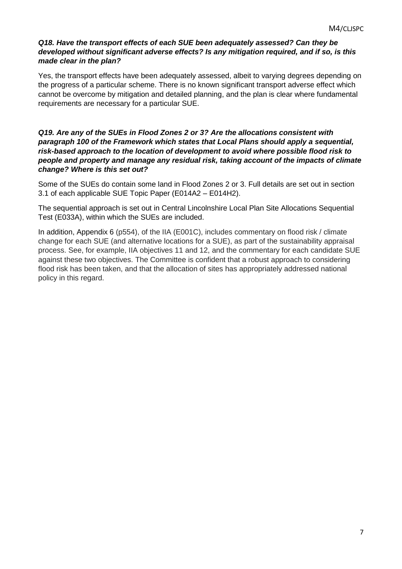# *Q18. Have the transport effects of each SUE been adequately assessed? Can they be developed without significant adverse effects? Is any mitigation required, and if so, is this made clear in the plan?*

Yes, the transport effects have been adequately assessed, albeit to varying degrees depending on the progress of a particular scheme. There is no known significant transport adverse effect which cannot be overcome by mitigation and detailed planning, and the plan is clear where fundamental requirements are necessary for a particular SUE.

# *Q19. Are any of the SUEs in Flood Zones 2 or 3? Are the allocations consistent with paragraph 100 of the Framework which states that Local Plans should apply a sequential, risk-based approach to the location of development to avoid where possible flood risk to people and property and manage any residual risk, taking account of the impacts of climate change? Where is this set out?*

Some of the SUEs do contain some land in Flood Zones 2 or 3. Full details are set out in section 3.1 of each applicable SUE Topic Paper (E014A2 – E014H2).

The sequential approach is set out in Central Lincolnshire Local Plan Site Allocations Sequential Test (E033A), within which the SUEs are included.

In addition, Appendix 6 (p554), of the IIA (E001C), includes commentary on flood risk / climate change for each SUE (and alternative locations for a SUE), as part of the sustainability appraisal process. See, for example, IIA objectives 11 and 12, and the commentary for each candidate SUE against these two objectives. The Committee is confident that a robust approach to considering flood risk has been taken, and that the allocation of sites has appropriately addressed national policy in this regard.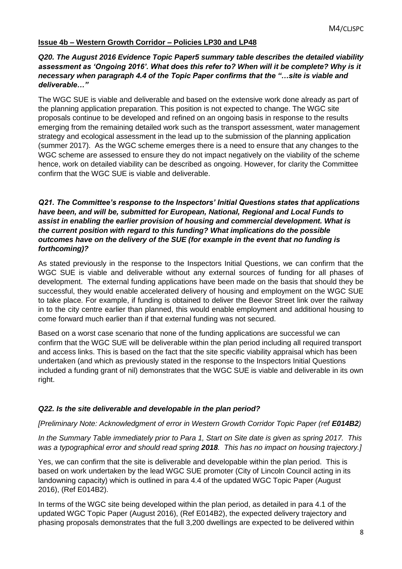# **Issue 4b – Western Growth Corridor – Policies LP30 and LP48**

#### *Q20. The August 2016 Evidence Topic Paper5 summary table describes the detailed viability assessment as 'Ongoing 2016'. What does this refer to? When will it be complete? Why is it necessary when paragraph 4.4 of the Topic Paper confirms that the "…site is viable and deliverable…"*

The WGC SUE is viable and deliverable and based on the extensive work done already as part of the planning application preparation. This position is not expected to change. The WGC site proposals continue to be developed and refined on an ongoing basis in response to the results emerging from the remaining detailed work such as the transport assessment, water management strategy and ecological assessment in the lead up to the submission of the planning application (summer 2017). As the WGC scheme emerges there is a need to ensure that any changes to the WGC scheme are assessed to ensure they do not impact negatively on the viability of the scheme hence, work on detailed viability can be described as ongoing. However, for clarity the Committee confirm that the WGC SUE is viable and deliverable.

#### *Q21. The Committee's response to the Inspectors' Initial Questions states that applications have been, and will be, submitted for European, National, Regional and Local Funds to assist in enabling the earlier provision of housing and commercial development. What is the current position with regard to this funding? What implications do the possible outcomes have on the delivery of the SUE (for example in the event that no funding is forthcoming)?*

As stated previously in the response to the Inspectors Initial Questions, we can confirm that the WGC SUE is viable and deliverable without any external sources of funding for all phases of development. The external funding applications have been made on the basis that should they be successful, they would enable accelerated delivery of housing and employment on the WGC SUE to take place. For example, if funding is obtained to deliver the Beevor Street link over the railway in to the city centre earlier than planned, this would enable employment and additional housing to come forward much earlier than if that external funding was not secured.

Based on a worst case scenario that none of the funding applications are successful we can confirm that the WGC SUE will be deliverable within the plan period including all required transport and access links. This is based on the fact that the site specific viability appraisal which has been undertaken (and which as previously stated in the response to the Inspectors Initial Questions included a funding grant of nil) demonstrates that the WGC SUE is viable and deliverable in its own right.

#### *Q22. Is the site deliverable and developable in the plan period?*

#### *[Preliminary Note: Acknowledgment of error in Western Growth Corridor Topic Paper (ref E014B2)*

*In the Summary Table immediately prior to Para 1, Start on Site date is given as spring 2017. This was a typographical error and should read spring 2018. This has no impact on housing trajectory.]*

Yes, we can confirm that the site is deliverable and developable within the plan period. This is based on work undertaken by the lead WGC SUE promoter (City of Lincoln Council acting in its landowning capacity) which is outlined in para 4.4 of the updated WGC Topic Paper (August 2016), (Ref E014B2).

In terms of the WGC site being developed within the plan period, as detailed in para 4.1 of the updated WGC Topic Paper (August 2016), (Ref E014B2), the expected delivery trajectory and phasing proposals demonstrates that the full 3,200 dwellings are expected to be delivered within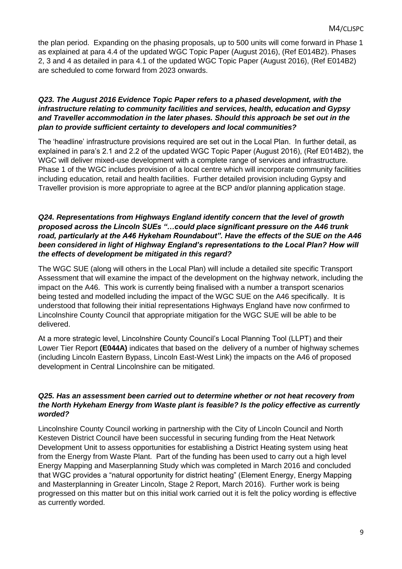the plan period. Expanding on the phasing proposals, up to 500 units will come forward in Phase 1 as explained at para 4.4 of the updated WGC Topic Paper (August 2016), (Ref E014B2). Phases 2, 3 and 4 as detailed in para 4.1 of the updated WGC Topic Paper (August 2016), (Ref E014B2) are scheduled to come forward from 2023 onwards.

#### *Q23. The August 2016 Evidence Topic Paper refers to a phased development, with the infrastructure relating to community facilities and services, health, education and Gypsy and Traveller accommodation in the later phases. Should this approach be set out in the plan to provide sufficient certainty to developers and local communities?*

The 'headline' infrastructure provisions required are set out in the Local Plan. In further detail, as explained in para's 2.1 and 2.2 of the updated WGC Topic Paper (August 2016), (Ref E014B2), the WGC will deliver mixed-use development with a complete range of services and infrastructure. Phase 1 of the WGC includes provision of a local centre which will incorporate community facilities including education, retail and health facilities. Further detailed provision including Gypsy and Traveller provision is more appropriate to agree at the BCP and/or planning application stage.

# *Q24. Representations from Highways England identify concern that the level of growth proposed across the Lincoln SUEs "…could place significant pressure on the A46 trunk road, particularly at the A46 Hykeham Roundabout". Have the effects of the SUE on the A46 been considered in light of Highway England's representations to the Local Plan? How will the effects of development be mitigated in this regard?*

The WGC SUE (along will others in the Local Plan) will include a detailed site specific Transport Assessment that will examine the impact of the development on the highway network, including the impact on the A46. This work is currently being finalised with a number a transport scenarios being tested and modelled including the impact of the WGC SUE on the A46 specifically. It is understood that following their initial representations Highways England have now confirmed to Lincolnshire County Council that appropriate mitigation for the WGC SUE will be able to be delivered.

At a more strategic level, Lincolnshire County Council's Local Planning Tool (LLPT) and their Lower Tier Report **(E044A)** indicates that based on the delivery of a number of highway schemes (including Lincoln Eastern Bypass, Lincoln East-West Link) the impacts on the A46 of proposed development in Central Lincolnshire can be mitigated.

# *Q25. Has an assessment been carried out to determine whether or not heat recovery from the North Hykeham Energy from Waste plant is feasible? Is the policy effective as currently worded?*

Lincolnshire County Council working in partnership with the City of Lincoln Council and North Kesteven District Council have been successful in securing funding from the Heat Network Development Unit to assess opportunities for establishing a District Heating system using heat from the Energy from Waste Plant. Part of the funding has been used to carry out a high level Energy Mapping and Maserplanning Study which was completed in March 2016 and concluded that WGC provides a "natural opportunity for district heating" (Element Energy, Energy Mapping and Masterplanning in Greater Lincoln, Stage 2 Report, March 2016). Further work is being progressed on this matter but on this initial work carried out it is felt the policy wording is effective as currently worded.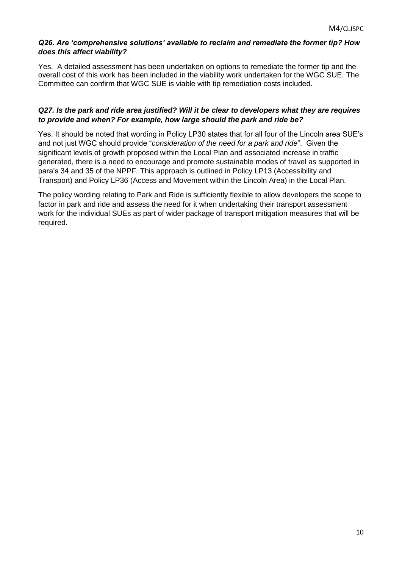#### *Q26. Are 'comprehensive solutions' available to reclaim and remediate the former tip? How does this affect viability?*

Yes. A detailed assessment has been undertaken on options to remediate the former tip and the overall cost of this work has been included in the viability work undertaken for the WGC SUE. The Committee can confirm that WGC SUE is viable with tip remediation costs included.

# *Q27. Is the park and ride area justified? Will it be clear to developers what they are requires to provide and when? For example, how large should the park and ride be?*

Yes. It should be noted that wording in Policy LP30 states that for all four of the Lincoln area SUE's and not just WGC should provide "*consideration of the need for a park and ride*". Given the significant levels of growth proposed within the Local Plan and associated increase in traffic generated, there is a need to encourage and promote sustainable modes of travel as supported in para's 34 and 35 of the NPPF. This approach is outlined in Policy LP13 (Accessibility and Transport) and Policy LP36 (Access and Movement within the Lincoln Area) in the Local Plan.

The policy wording relating to Park and Ride is sufficiently flexible to allow developers the scope to factor in park and ride and assess the need for it when undertaking their transport assessment work for the individual SUEs as part of wider package of transport mitigation measures that will be required.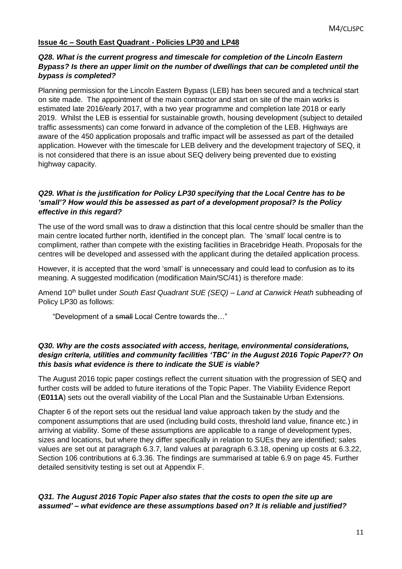# **Issue 4c – South East Quadrant - Policies LP30 and LP48**

#### *Q28. What is the current progress and timescale for completion of the Lincoln Eastern Bypass? Is there an upper limit on the number of dwellings that can be completed until the bypass is completed?*

Planning permission for the Lincoln Eastern Bypass (LEB) has been secured and a technical start on site made. The appointment of the main contractor and start on site of the main works is estimated late 2016/early 2017, with a two year programme and completion late 2018 or early 2019. Whilst the LEB is essential for sustainable growth, housing development (subject to detailed traffic assessments) can come forward in advance of the completion of the LEB. Highways are aware of the 450 application proposals and traffic impact will be assessed as part of the detailed application. However with the timescale for LEB delivery and the development trajectory of SEQ, it is not considered that there is an issue about SEQ delivery being prevented due to existing highway capacity.

#### *Q29. What is the justification for Policy LP30 specifying that the Local Centre has to be 'small'? How would this be assessed as part of a development proposal? Is the Policy effective in this regard?*

The use of the word small was to draw a distinction that this local centre should be smaller than the main centre located further north, identified in the concept plan. The 'small' local centre is to compliment, rather than compete with the existing facilities in Bracebridge Heath. Proposals for the centres will be developed and assessed with the applicant during the detailed application process.

However, it is accepted that the word 'small' is unnecessary and could lead to confusion as to its meaning. A suggested modification (modification Main/SC/41) is therefore made:

Amend 10th bullet under *South East Quadrant SUE (SEQ) – Land at Canwick Heath* subheading of Policy LP30 as follows:

"Development of a small Local Centre towards the…"

#### *Q30. Why are the costs associated with access, heritage, environmental considerations, design criteria, utilities and community facilities 'TBC' in the August 2016 Topic Paper7? On this basis what evidence is there to indicate the SUE is viable?*

The August 2016 topic paper costings reflect the current situation with the progression of SEQ and further costs will be added to future iterations of the Topic Paper. The Viability Evidence Report (**E011A**) sets out the overall viability of the Local Plan and the Sustainable Urban Extensions.

Chapter 6 of the report sets out the residual land value approach taken by the study and the component assumptions that are used (including build costs, threshold land value, finance etc.) in arriving at viability. Some of these assumptions are applicable to a range of development types, sizes and locations, but where they differ specifically in relation to SUEs they are identified; sales values are set out at paragraph 6.3.7, land values at paragraph 6.3.18, opening up costs at 6.3.22, Section 106 contributions at 6.3.36. The findings are summarised at table 6.9 on page 45. Further detailed sensitivity testing is set out at Appendix F.

# *Q31. The August 2016 Topic Paper also states that the costs to open the site up are assumed' – what evidence are these assumptions based on? It is reliable and justified?*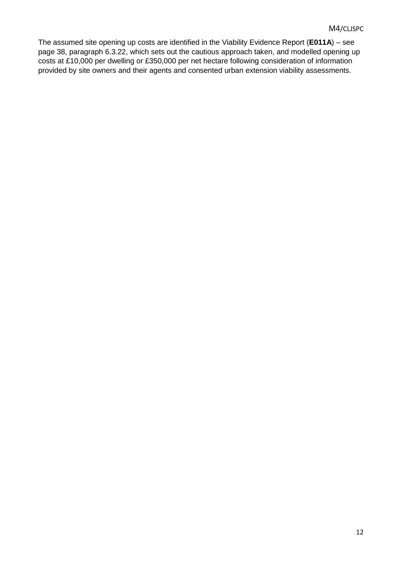The assumed site opening up costs are identified in the Viability Evidence Report (**E011A**) – see page 38, paragraph 6.3.22, which sets out the cautious approach taken, and modelled opening up costs at £10,000 per dwelling or £350,000 per net hectare following consideration of information provided by site owners and their agents and consented urban extension viability assessments.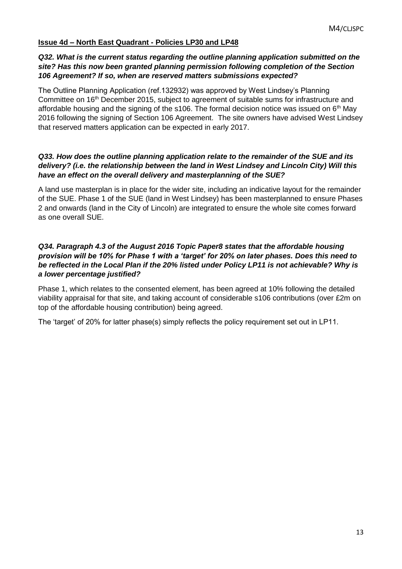# **Issue 4d – North East Quadrant - Policies LP30 and LP48**

#### *Q32. What is the current status regarding the outline planning application submitted on the site? Has this now been granted planning permission following completion of the Section 106 Agreement? If so, when are reserved matters submissions expected?*

The Outline Planning Application (ref.132932) was approved by West Lindsey's Planning Committee on 16<sup>th</sup> December 2015, subject to agreement of suitable sums for infrastructure and affordable housing and the signing of the s106. The formal decision notice was issued on  $6<sup>th</sup>$  May 2016 following the signing of Section 106 Agreement. The site owners have advised West Lindsey that reserved matters application can be expected in early 2017.

#### *Q33. How does the outline planning application relate to the remainder of the SUE and its delivery? (i.e. the relationship between the land in West Lindsey and Lincoln City) Will this have an effect on the overall delivery and masterplanning of the SUE?*

A land use masterplan is in place for the wider site, including an indicative layout for the remainder of the SUE. Phase 1 of the SUE (land in West Lindsey) has been masterplanned to ensure Phases 2 and onwards (land in the City of Lincoln) are integrated to ensure the whole site comes forward as one overall SUE.

# *Q34. Paragraph 4.3 of the August 2016 Topic Paper8 states that the affordable housing provision will be 10% for Phase 1 with a 'target' for 20% on later phases. Does this need to be reflected in the Local Plan if the 20% listed under Policy LP11 is not achievable? Why is a lower percentage justified?*

Phase 1, which relates to the consented element, has been agreed at 10% following the detailed viability appraisal for that site, and taking account of considerable s106 contributions (over £2m on top of the affordable housing contribution) being agreed.

The 'target' of 20% for latter phase(s) simply reflects the policy requirement set out in LP11.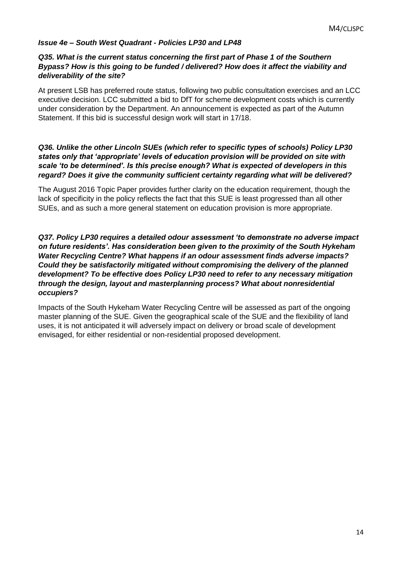# *Issue 4e – South West Quadrant - Policies LP30 and LP48*

#### *Q35. What is the current status concerning the first part of Phase 1 of the Southern Bypass? How is this going to be funded / delivered? How does it affect the viability and deliverability of the site?*

At present LSB has preferred route status, following two public consultation exercises and an LCC executive decision. LCC submitted a bid to DfT for scheme development costs which is currently under consideration by the Department. An announcement is expected as part of the Autumn Statement. If this bid is successful design work will start in 17/18.

#### *Q36. Unlike the other Lincoln SUEs (which refer to specific types of schools) Policy LP30 states only that 'appropriate' levels of education provision will be provided on site with scale 'to be determined'. Is this precise enough? What is expected of developers in this regard? Does it give the community sufficient certainty regarding what will be delivered?*

The August 2016 Topic Paper provides further clarity on the education requirement, though the lack of specificity in the policy reflects the fact that this SUE is least progressed than all other SUEs, and as such a more general statement on education provision is more appropriate.

# *Q37. Policy LP30 requires a detailed odour assessment 'to demonstrate no adverse impact on future residents'. Has consideration been given to the proximity of the South Hykeham Water Recycling Centre? What happens if an odour assessment finds adverse impacts? Could they be satisfactorily mitigated without compromising the delivery of the planned development? To be effective does Policy LP30 need to refer to any necessary mitigation through the design, layout and masterplanning process? What about nonresidential occupiers?*

Impacts of the South Hykeham Water Recycling Centre will be assessed as part of the ongoing master planning of the SUE. Given the geographical scale of the SUE and the flexibility of land uses, it is not anticipated it will adversely impact on delivery or broad scale of development envisaged, for either residential or non-residential proposed development.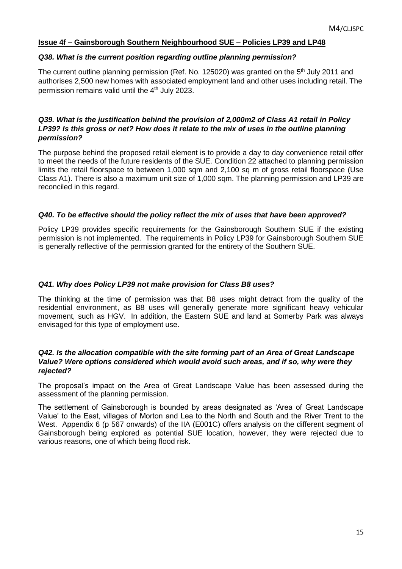# **Issue 4f – Gainsborough Southern Neighbourhood SUE – Policies LP39 and LP48**

#### *Q38. What is the current position regarding outline planning permission?*

The current outline planning permission (Ref. No. 125020) was granted on the  $5<sup>th</sup>$  July 2011 and authorises 2,500 new homes with associated employment land and other uses including retail. The permission remains valid until the 4th July 2023.

# *Q39. What is the justification behind the provision of 2,000m2 of Class A1 retail in Policy LP39? Is this gross or net? How does it relate to the mix of uses in the outline planning permission?*

The purpose behind the proposed retail element is to provide a day to day convenience retail offer to meet the needs of the future residents of the SUE. Condition 22 attached to planning permission limits the retail floorspace to between 1,000 sqm and 2,100 sq m of gross retail floorspace (Use Class A1). There is also a maximum unit size of 1,000 sqm. The planning permission and LP39 are reconciled in this regard.

# *Q40. To be effective should the policy reflect the mix of uses that have been approved?*

Policy LP39 provides specific requirements for the Gainsborough Southern SUE if the existing permission is not implemented. The requirements in Policy LP39 for Gainsborough Southern SUE is generally reflective of the permission granted for the entirety of the Southern SUE.

# *Q41. Why does Policy LP39 not make provision for Class B8 uses?*

The thinking at the time of permission was that B8 uses might detract from the quality of the residential environment, as B8 uses will generally generate more significant heavy vehicular movement, such as HGV. In addition, the Eastern SUE and land at Somerby Park was always envisaged for this type of employment use.

#### *Q42. Is the allocation compatible with the site forming part of an Area of Great Landscape Value? Were options considered which would avoid such areas, and if so, why were they rejected?*

The proposal's impact on the Area of Great Landscape Value has been assessed during the assessment of the planning permission.

The settlement of Gainsborough is bounded by areas designated as 'Area of Great Landscape Value' to the East, villages of Morton and Lea to the North and South and the River Trent to the West. Appendix 6 (p 567 onwards) of the IIA (E001C) offers analysis on the different segment of Gainsborough being explored as potential SUE location, however, they were rejected due to various reasons, one of which being flood risk.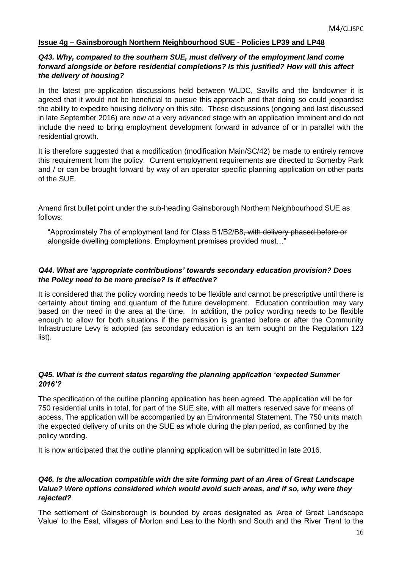# **Issue 4g – Gainsborough Northern Neighbourhood SUE - Policies LP39 and LP48**

#### *Q43. Why, compared to the southern SUE, must delivery of the employment land come forward alongside or before residential completions? Is this justified? How will this affect the delivery of housing?*

In the latest pre-application discussions held between WLDC, Savills and the landowner it is agreed that it would not be beneficial to pursue this approach and that doing so could jeopardise the ability to expedite housing delivery on this site. These discussions (ongoing and last discussed in late September 2016) are now at a very advanced stage with an application imminent and do not include the need to bring employment development forward in advance of or in parallel with the residential growth.

It is therefore suggested that a modification (modification Main/SC/42) be made to entirely remove this requirement from the policy. Current employment requirements are directed to Somerby Park and / or can be brought forward by way of an operator specific planning application on other parts of the SUE.

Amend first bullet point under the sub-heading Gainsborough Northern Neighbourhood SUE as follows:

"Approximately 7ha of employment land for Class B1/B2/B8, with delivery phased before or alongside dwelling completions. Employment premises provided must…"

# *Q44. What are 'appropriate contributions' towards secondary education provision? Does the Policy need to be more precise? Is it effective?*

It is considered that the policy wording needs to be flexible and cannot be prescriptive until there is certainty about timing and quantum of the future development. Education contribution may vary based on the need in the area at the time. In addition, the policy wording needs to be flexible enough to allow for both situations if the permission is granted before or after the Community Infrastructure Levy is adopted (as secondary education is an item sought on the Regulation 123 list).

# *Q45. What is the current status regarding the planning application 'expected Summer 2016'?*

The specification of the outline planning application has been agreed. The application will be for 750 residential units in total, for part of the SUE site, with all matters reserved save for means of access. The application will be accompanied by an Environmental Statement. The 750 units match the expected delivery of units on the SUE as whole during the plan period, as confirmed by the policy wording.

It is now anticipated that the outline planning application will be submitted in late 2016.

#### *Q46. Is the allocation compatible with the site forming part of an Area of Great Landscape Value? Were options considered which would avoid such areas, and if so, why were they rejected?*

The settlement of Gainsborough is bounded by areas designated as 'Area of Great Landscape Value' to the East, villages of Morton and Lea to the North and South and the River Trent to the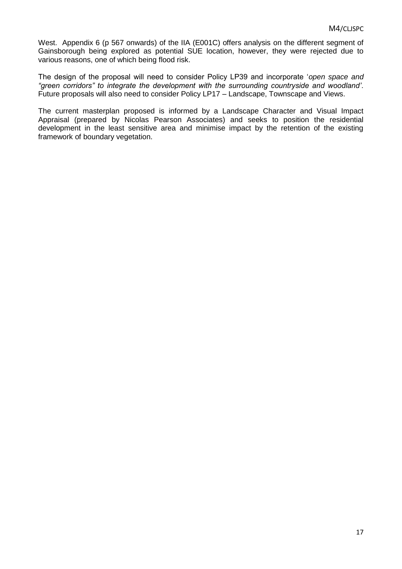West. Appendix 6 (p 567 onwards) of the IIA (E001C) offers analysis on the different segment of Gainsborough being explored as potential SUE location, however, they were rejected due to various reasons, one of which being flood risk.

The design of the proposal will need to consider Policy LP39 and incorporate '*open space and "green corridors" to integrate the development with the surrounding countryside and woodland'*. Future proposals will also need to consider Policy LP17 – Landscape, Townscape and Views.

The current masterplan proposed is informed by a Landscape Character and Visual Impact Appraisal (prepared by Nicolas Pearson Associates) and seeks to position the residential development in the least sensitive area and minimise impact by the retention of the existing framework of boundary vegetation.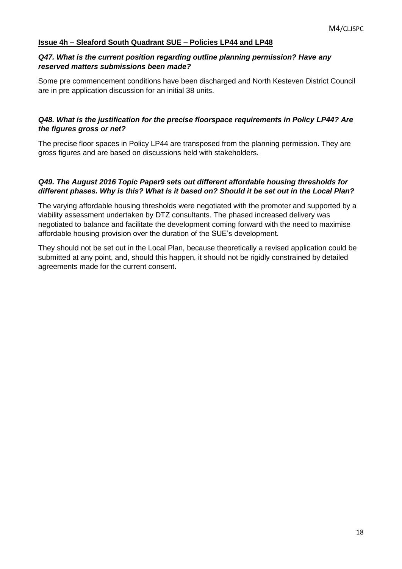# **Issue 4h – Sleaford South Quadrant SUE – Policies LP44 and LP48**

#### *Q47. What is the current position regarding outline planning permission? Have any reserved matters submissions been made?*

Some pre commencement conditions have been discharged and North Kesteven District Council are in pre application discussion for an initial 38 units.

# *Q48. What is the justification for the precise floorspace requirements in Policy LP44? Are the figures gross or net?*

The precise floor spaces in Policy LP44 are transposed from the planning permission. They are gross figures and are based on discussions held with stakeholders.

# *Q49. The August 2016 Topic Paper9 sets out different affordable housing thresholds for different phases. Why is this? What is it based on? Should it be set out in the Local Plan?*

The varying affordable housing thresholds were negotiated with the promoter and supported by a viability assessment undertaken by DTZ consultants. The phased increased delivery was negotiated to balance and facilitate the development coming forward with the need to maximise affordable housing provision over the duration of the SUE's development.

They should not be set out in the Local Plan, because theoretically a revised application could be submitted at any point, and, should this happen, it should not be rigidly constrained by detailed agreements made for the current consent.